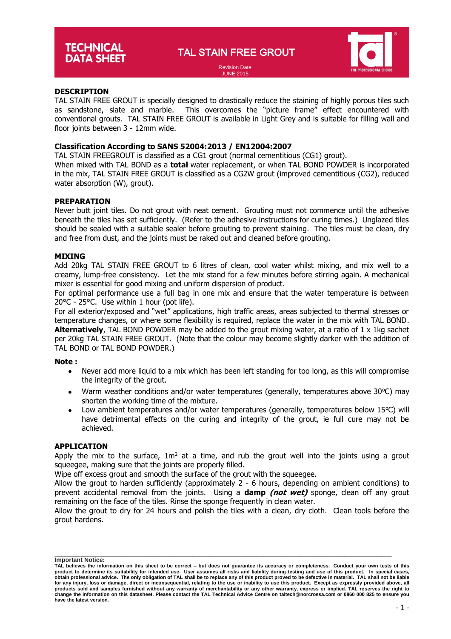TAL STAIN FREE GROUT



#### Revision Date JUNE 2015

# **DESCRIPTION**

TAL STAIN FREE GROUT is specially designed to drastically reduce the staining of highly porous tiles such as sandstone, slate and marble. This overcomes the "picture frame" effect encountered with conventional grouts. TAL STAIN FREE GROUT is available in Light Grey and is suitable for filling wall and floor joints between 3 - 12mm wide.

# **Classification According to SANS 52004:2013 / EN12004:2007**

TAL STAIN FREEGROUT is classified as a CG1 grout (normal cementitious (CG1) grout).

When mixed with TAL BOND as a **total** water replacement, or when TAL BOND POWDER is incorporated in the mix, TAL STAIN FREE GROUT is classified as a CG2W grout (improved cementitious (CG2), reduced water absorption (W), grout).

# **PREPARATION**

Never butt joint tiles. Do not grout with neat cement. Grouting must not commence until the adhesive beneath the tiles has set sufficiently. (Refer to the adhesive instructions for curing times.) Unglazed tiles should be sealed with a suitable sealer before grouting to prevent staining. The tiles must be clean, dry and free from dust, and the joints must be raked out and cleaned before grouting.

# **MIXING**

Add 20kg TAL STAIN FREE GROUT to 6 litres of clean, cool water whilst mixing, and mix well to a creamy, lump-free consistency. Let the mix stand for a few minutes before stirring again. A mechanical mixer is essential for good mixing and uniform dispersion of product.

For optimal performance use a full bag in one mix and ensure that the water temperature is between 20°C - 25°C. Use within 1 hour (pot life).

For all exterior/exposed and "wet" applications, high traffic areas, areas subjected to thermal stresses or temperature changes, or where some flexibility is required, replace the water in the mix with TAL BOND. **Alternatively**, TAL BOND POWDER may be added to the grout mixing water, at a ratio of 1 x 1kg sachet per 20kg TAL STAIN FREE GROUT. (Note that the colour may become slightly darker with the addition of TAL BOND or TAL BOND POWDER.)

#### **Note :**

- Never add more liquid to a mix which has been left standing for too long, as this will compromise the integrity of the grout.
- Warm weather conditions and/or water temperatures (generally, temperatures above  $30^{\circ}$ C) may shorten the working time of the mixture.
- Low ambient temperatures and/or water temperatures (generally, temperatures below 15°C) will have detrimental effects on the curing and integrity of the grout, ie full cure may not be achieved.

#### **APPLICATION**

Apply the mix to the surface,  $1m^2$  at a time, and rub the grout well into the joints using a grout squeegee, making sure that the joints are properly filled.

Wipe off excess grout and smooth the surface of the grout with the squeegee.

Allow the grout to harden sufficiently (approximately 2 - 6 hours, depending on ambient conditions) to prevent accidental removal from the joints. Using a **damp (not wet)** sponge, clean off any grout remaining on the face of the tiles. Rinse the sponge frequently in clean water.

Allow the grout to dry for 24 hours and polish the tiles with a clean, dry cloth. Clean tools before the grout hardens.

**\_\_\_\_\_\_\_\_\_\_\_\_\_\_\_\_\_\_\_\_\_\_\_\_\_\_\_\_\_\_\_\_\_\_\_\_\_\_\_\_\_\_\_\_\_\_\_\_\_\_\_\_\_\_\_\_\_\_\_\_\_\_\_\_\_\_\_\_\_\_\_\_\_\_\_\_\_\_\_\_\_\_\_\_\_\_\_\_\_\_\_\_\_\_\_\_\_\_\_\_ Important Notice:**

**TAL believes the information on this sheet to be correct – but does not guarantee its accuracy or completeness. Conduct your own tests of this**  product to determine its suitability for intended use. User assumes all risks and liability during testing and use of this product. In special cases,<br>obtain professional advice. The only obligation of TAL shall be to rep **for any injury, loss or damage, direct or inconsequential, relating to the use or inability to use this product. Except as expressly provided above, all**  products sold and samples furnished without any warranty of merchantability or any other warranty, express or implied. TAL reserves the right to<br>change the information on this datasheet. Please contact the TAL Technical Ad **have the latest version.**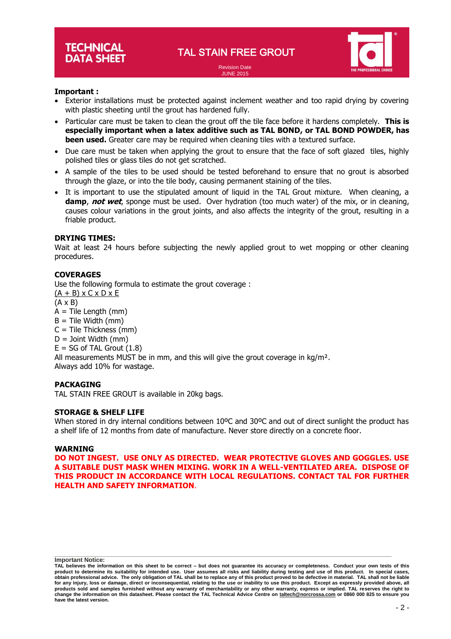JUNE 2015



# **Important :**

- Exterior installations must be protected against inclement weather and too rapid drying by covering with plastic sheeting until the grout has hardened fully.
- Particular care must be taken to clean the grout off the tile face before it hardens completely. **This is especially important when a latex additive such as TAL BOND, or TAL BOND POWDER, has been used.** Greater care may be required when cleaning tiles with a textured surface.
- Due care must be taken when applying the grout to ensure that the face of soft glazed tiles, highly polished tiles or glass tiles do not get scratched.
- A sample of the tiles to be used should be tested beforehand to ensure that no grout is absorbed through the glaze, or into the tile body, causing permanent staining of the tiles.
- It is important to use the stipulated amount of liquid in the TAL Grout mixture. When cleaning, a **damp**, **not wet**, sponge must be used. Over hydration (too much water) of the mix, or in cleaning, causes colour variations in the grout joints, and also affects the integrity of the grout, resulting in a friable product.

#### **DRYING TIMES:**

Wait at least 24 hours before subjecting the newly applied grout to wet mopping or other cleaning procedures.

# **COVERAGES**

Use the following formula to estimate the grout coverage :  $(A + B)$  x C x D x E (A x B)  $A =$  Tile Length (mm)  $B =$  Tile Width (mm)  $C =$  Tile Thickness (mm)  $D =$  Joint Width (mm)  $E = SG$  of TAL Grout  $(1.8)$ All measurements MUST be in mm, and this will give the grout coverage in  $kg/m<sup>2</sup>$ . Always add 10% for wastage.

#### **PACKAGING**

TAL STAIN FREE GROUT is available in 20kg bags.

# **STORAGE & SHELF LIFE**

When stored in dry internal conditions between 10°C and 30°C and out of direct sunlight the product has a shelf life of 12 months from date of manufacture. Never store directly on a concrete floor.

#### **WARNING**

**DO NOT INGEST. USE ONLY AS DIRECTED. WEAR PROTECTIVE GLOVES AND GOGGLES. USE A SUITABLE DUST MASK WHEN MIXING. WORK IN A WELL-VENTILATED AREA. DISPOSE OF THIS PRODUCT IN ACCORDANCE WITH LOCAL REGULATIONS. CONTACT TAL FOR FURTHER HEALTH AND SAFETY INFORMATION**.

**\_\_\_\_\_\_\_\_\_\_\_\_\_\_\_\_\_\_\_\_\_\_\_\_\_\_\_\_\_\_\_\_\_\_\_\_\_\_\_\_\_\_\_\_\_\_\_\_\_\_\_\_\_\_\_\_\_\_\_\_\_\_\_\_\_\_\_\_\_\_\_\_\_\_\_\_\_\_\_\_\_\_\_\_\_\_\_\_\_\_\_\_\_\_\_\_\_\_\_\_ Important Notice:**

**TAL believes the information on this sheet to be correct – but does not guarantee its accuracy or completeness. Conduct your own tests of this**  product to determine its suitability for intended use. User assumes all risks and liability during testing and use of this product. In special cases,<br>obtain professional advice. The only obligation of TAL shall be to rep **for any injury, loss or damage, direct or inconsequential, relating to the use or inability to use this product. Except as expressly provided above, all**  products sold and samples furnished without any warranty of merchantability or any other warranty, express or implied. TAL reserves the right to<br>change the information on this datasheet. Please contact the TAL Technical Ad **have the latest version.**